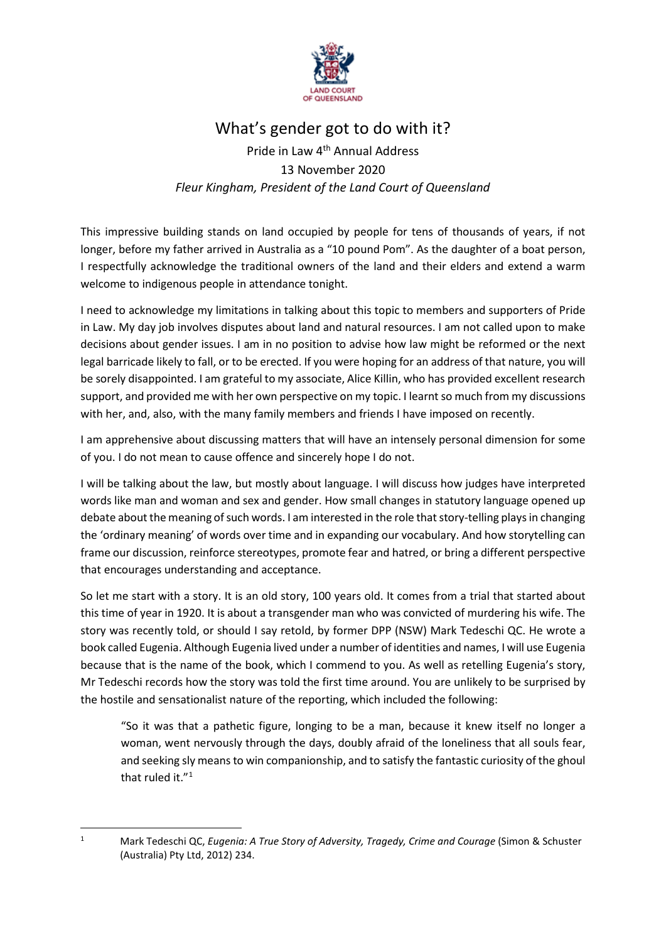

## What's gender got to do with it?

## Pride in Law 4th Annual Address 13 November 2020 *Fleur Kingham, President of the Land Court of Queensland*

This impressive building stands on land occupied by people for tens of thousands of years, if not longer, before my father arrived in Australia as a "10 pound Pom". As the daughter of a boat person, I respectfully acknowledge the traditional owners of the land and their elders and extend a warm welcome to indigenous people in attendance tonight.

I need to acknowledge my limitations in talking about this topic to members and supporters of Pride in Law. My day job involves disputes about land and natural resources. I am not called upon to make decisions about gender issues. I am in no position to advise how law might be reformed or the next legal barricade likely to fall, or to be erected. If you were hoping for an address of that nature, you will be sorely disappointed. I am grateful to my associate, Alice Killin, who has provided excellent research support, and provided me with her own perspective on my topic. I learnt so much from my discussions with her, and, also, with the many family members and friends I have imposed on recently.

I am apprehensive about discussing matters that will have an intensely personal dimension for some of you. I do not mean to cause offence and sincerely hope I do not.

I will be talking about the law, but mostly about language. I will discuss how judges have interpreted words like man and woman and sex and gender. How small changes in statutory language opened up debate about the meaning of such words. I am interested in the role that story-telling plays in changing the 'ordinary meaning' of words over time and in expanding our vocabulary. And how storytelling can frame our discussion, reinforce stereotypes, promote fear and hatred, or bring a different perspective that encourages understanding and acceptance.

So let me start with a story. It is an old story, 100 years old. It comes from a trial that started about this time of year in 1920. It is about a transgender man who was convicted of murdering his wife. The story was recently told, or should I say retold, by former DPP (NSW) Mark Tedeschi QC. He wrote a book called Eugenia. Although Eugenia lived under a number of identities and names, I will use Eugenia because that is the name of the book, which I commend to you. As well as retelling Eugenia's story, Mr Tedeschi records how the story was told the first time around. You are unlikely to be surprised by the hostile and sensationalist nature of the reporting, which included the following:

"So it was that a pathetic figure, longing to be a man, because it knew itself no longer a woman, went nervously through the days, doubly afraid of the loneliness that all souls fear, and seeking sly means to win companionship, and to satisfy the fantastic curiosity of the ghoul that ruled it."<sup>[1](#page-0-0)</sup>

<span id="page-0-0"></span><sup>1</sup> Mark Tedeschi QC, *Eugenia: A True Story of Adversity, Tragedy, Crime and Courage* (Simon & Schuster (Australia) Pty Ltd, 2012) 234.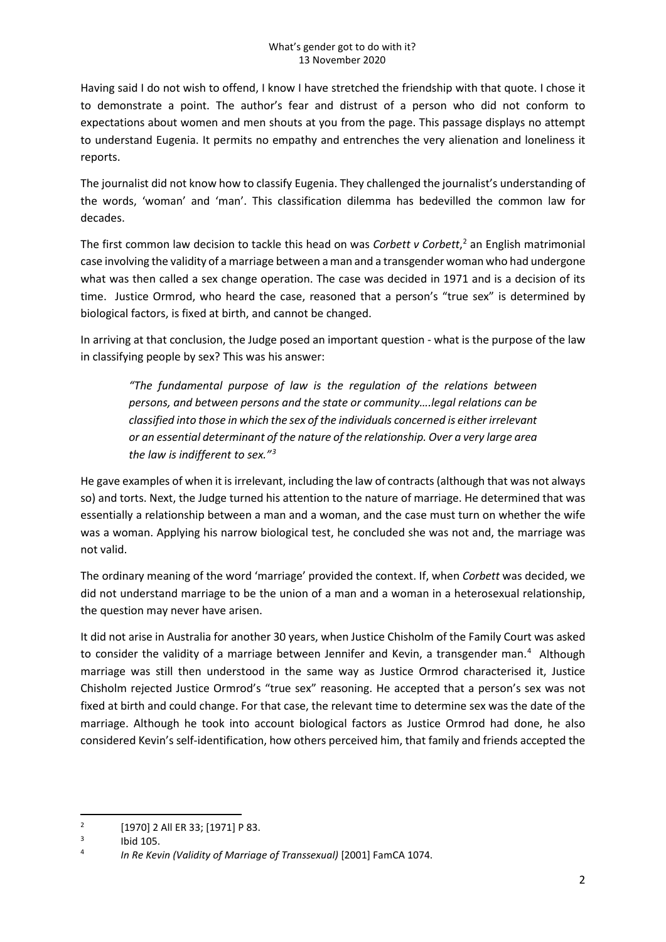Having said I do not wish to offend, I know I have stretched the friendship with that quote. I chose it to demonstrate a point. The author's fear and distrust of a person who did not conform to expectations about women and men shouts at you from the page. This passage displays no attempt to understand Eugenia. It permits no empathy and entrenches the very alienation and loneliness it reports.

The journalist did not know how to classify Eugenia. They challenged the journalist's understanding of the words, 'woman' and 'man'. This classification dilemma has bedevilled the common law for decades.

The first common law decision to tackle this head on was *Corbett v Corbett*, [2](#page-1-0) an English matrimonial case involving the validity of a marriage between a man and a transgender woman who had undergone what was then called a sex change operation. The case was decided in 1971 and is a decision of its time. Justice Ormrod, who heard the case, reasoned that a person's "true sex" is determined by biological factors, is fixed at birth, and cannot be changed.

In arriving at that conclusion, the Judge posed an important question - what is the purpose of the law in classifying people by sex? This was his answer:

*"The fundamental purpose of law is the regulation of the relations between persons, and between persons and the state or community….legal relations can be classified into those in which the sex of the individuals concerned is either irrelevant or an essential determinant of the nature of the relationship. Over a very large area the law is indifferent to sex."[3](#page-1-1)*

He gave examples of when it is irrelevant, including the law of contracts (although that was not always so) and torts. Next, the Judge turned his attention to the nature of marriage. He determined that was essentially a relationship between a man and a woman, and the case must turn on whether the wife was a woman. Applying his narrow biological test, he concluded she was not and, the marriage was not valid.

The ordinary meaning of the word 'marriage' provided the context. If, when *Corbett* was decided, we did not understand marriage to be the union of a man and a woman in a heterosexual relationship, the question may never have arisen.

It did not arise in Australia for another 30 years, when Justice Chisholm of the Family Court was asked to consider the validity of a marriage between Jennifer and Kevin, a transgender man.<sup>[4](#page-1-2)</sup> Although marriage was still then understood in the same way as Justice Ormrod characterised it, Justice Chisholm rejected Justice Ormrod's "true sex" reasoning. He accepted that a person's sex was not fixed at birth and could change. For that case, the relevant time to determine sex was the date of the marriage. Although he took into account biological factors as Justice Ormrod had done, he also considered Kevin's self-identification, how others perceived him, that family and friends accepted the

<span id="page-1-0"></span><sup>&</sup>lt;sup>2</sup> [1970] 2 All ER 33; [1971] P 83.

<span id="page-1-2"></span><span id="page-1-1"></span>

<sup>3</sup> Ibid 105. 4 *In Re Kevin (Validity of Marriage of Transsexual)* [2001] FamCA 1074.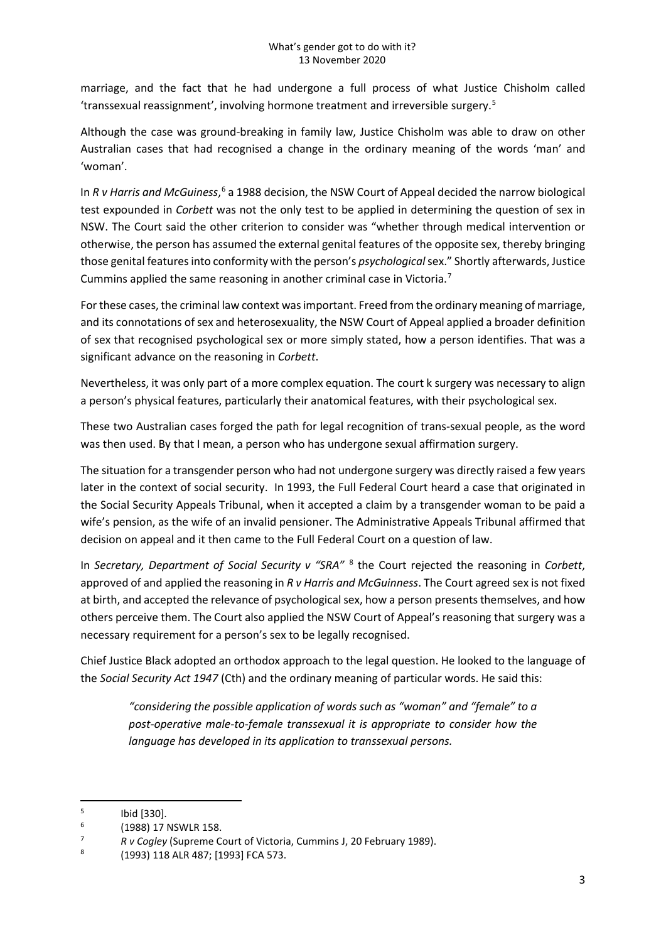marriage, and the fact that he had undergone a full process of what Justice Chisholm called 'transsexual reassignment', involving hormone treatment and irreversible surgery.[5](#page-2-0)

Although the case was ground-breaking in family law, Justice Chisholm was able to draw on other Australian cases that had recognised a change in the ordinary meaning of the words 'man' and 'woman'.

In *R v Harris and McGuiness*, [6](#page-2-1) a 1988 decision, the NSW Court of Appeal decided the narrow biological test expounded in *Corbett* was not the only test to be applied in determining the question of sex in NSW. The Court said the other criterion to consider was "whether through medical intervention or otherwise, the person has assumed the external genital features of the opposite sex, thereby bringing those genital features into conformity with the person's *psychological*sex." Shortly afterwards, Justice Cummins applied the same reasoning in another criminal case in Victoria.[7](#page-2-2)

For these cases, the criminal law context was important. Freed from the ordinary meaning of marriage, and its connotations of sex and heterosexuality, the NSW Court of Appeal applied a broader definition of sex that recognised psychological sex or more simply stated, how a person identifies. That was a significant advance on the reasoning in *Corbett*.

Nevertheless, it was only part of a more complex equation. The court k surgery was necessary to align a person's physical features, particularly their anatomical features, with their psychological sex.

These two Australian cases forged the path for legal recognition of trans-sexual people, as the word was then used. By that I mean, a person who has undergone sexual affirmation surgery.

The situation for a transgender person who had not undergone surgery was directly raised a few years later in the context of social security. In 1993, the Full Federal Court heard a case that originated in the Social Security Appeals Tribunal, when it accepted a claim by a transgender woman to be paid a wife's pension, as the wife of an invalid pensioner. The Administrative Appeals Tribunal affirmed that decision on appeal and it then came to the Full Federal Court on a question of law.

In *Secretary, Department of Social Security v "SRA"* [8](#page-2-3) the Court rejected the reasoning in *Corbett*, approved of and applied the reasoning in *R v Harris and McGuinness*. The Court agreed sex is not fixed at birth, and accepted the relevance of psychological sex, how a person presents themselves, and how others perceive them. The Court also applied the NSW Court of Appeal's reasoning that surgery was a necessary requirement for a person's sex to be legally recognised.

Chief Justice Black adopted an orthodox approach to the legal question. He looked to the language of the *Social Security Act 1947* (Cth) and the ordinary meaning of particular words. He said this:

*"considering the possible application of words such as "woman" and "female" to a post-operative male-to-female transsexual it is appropriate to consider how the language has developed in its application to transsexual persons.*

<span id="page-2-0"></span>

<span id="page-2-1"></span>

<sup>5</sup> Ibid [330]. 6 (1988) 17 NSWLR 158. 7 *R v Cogley* (Supreme Court of Victoria, Cummins J, 20 February 1989). 8 (1993) 118 ALR 487; [1993] FCA 573.

<span id="page-2-3"></span><span id="page-2-2"></span>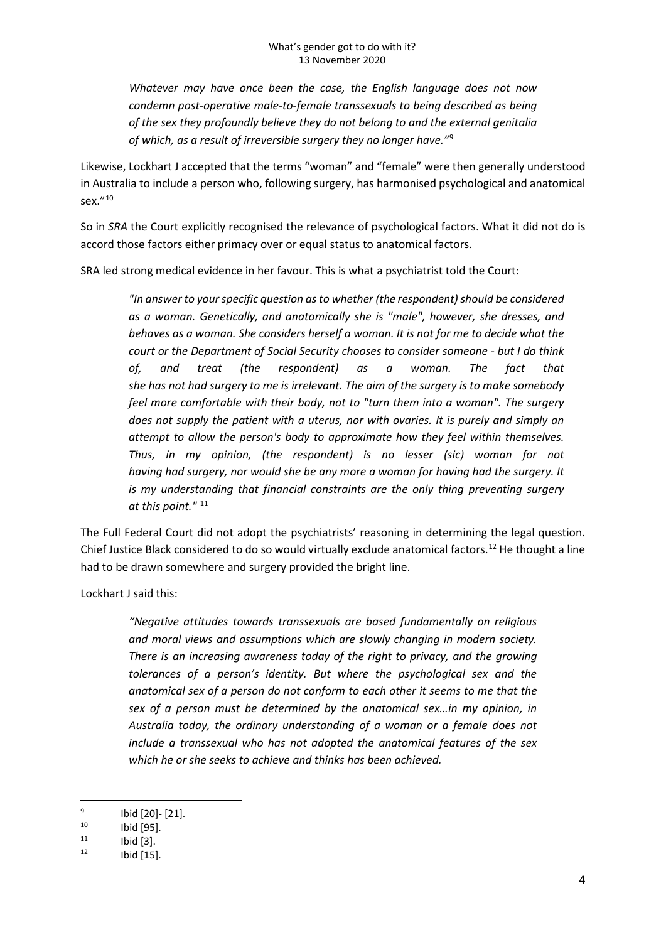*Whatever may have once been the case, the English language does not now condemn post-operative male-to-female transsexuals to being described as being of the sex they profoundly believe they do not belong to and the external genitalia of which, as a result of irreversible surgery they no longer have."*[9](#page-3-0)

Likewise, Lockhart J accepted that the terms "woman" and "female" were then generally understood in Australia to include a person who, following surgery, has harmonised psychological and anatomical sex.["10](#page-3-1)

So in *SRA* the Court explicitly recognised the relevance of psychological factors. What it did not do is accord those factors either primacy over or equal status to anatomical factors.

SRA led strong medical evidence in her favour. This is what a psychiatrist told the Court:

*"In answer to your specific question as to whether (the respondent) should be considered as a woman. Genetically, and anatomically she is "male", however, she dresses, and behaves as a woman. She considers herself a woman. It is not for me to decide what the court or the Department of Social Security chooses to consider someone - but I do think of, and treat (the respondent) as a woman. The fact that she has not had surgery to me is irrelevant. The aim of the surgery is to make somebody feel more comfortable with their body, not to "turn them into a woman". The surgery does not supply the patient with a uterus, nor with ovaries. It is purely and simply an attempt to allow the person's body to approximate how they feel within themselves. Thus, in my opinion, (the respondent) is no lesser (sic) woman for not having had surgery, nor would she be any more a woman for having had the surgery. It is my understanding that financial constraints are the only thing preventing surgery* at this point."<sup>[11](#page-3-2)</sup>

The Full Federal Court did not adopt the psychiatrists' reasoning in determining the legal question. Chief Justice Black considered to do so would virtually exclude anatomical factors.[12](#page-3-3) He thought a line had to be drawn somewhere and surgery provided the bright line.

Lockhart J said this:

*"Negative attitudes towards transsexuals are based fundamentally on religious and moral views and assumptions which are slowly changing in modern society. There is an increasing awareness today of the right to privacy, and the growing tolerances of a person's identity. But where the psychological sex and the anatomical sex of a person do not conform to each other it seems to me that the sex of a person must be determined by the anatomical sex…in my opinion, in Australia today, the ordinary understanding of a woman or a female does not include a transsexual who has not adopted the anatomical features of the sex which he or she seeks to achieve and thinks has been achieved.*

<span id="page-3-0"></span><sup>9</sup> Ibid [20]- [21].<br>
10 Ibid [95].<br>
11 Ibid [3].<br>
12 Ibid [15].

<span id="page-3-1"></span>

<span id="page-3-2"></span>

<span id="page-3-3"></span>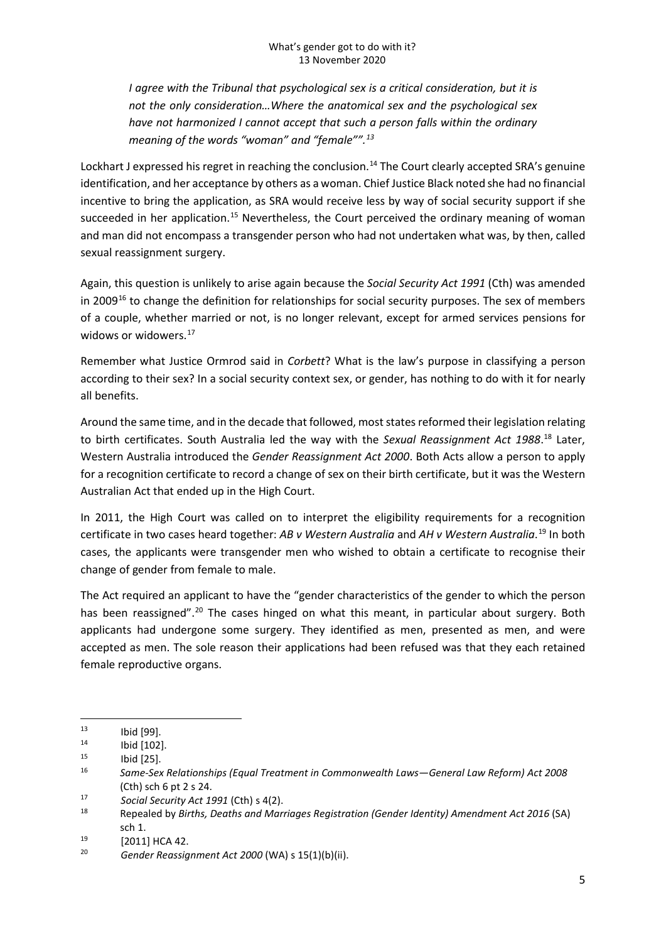*I agree with the Tribunal that psychological sex is a critical consideration, but it is not the only consideration…Where the anatomical sex and the psychological sex have not harmonized I cannot accept that such a person falls within the ordinary meaning of the words "woman" and "female"".[13](#page-4-0)*

Lockhart J expressed his regret in reaching the conclusion.<sup>14</sup> The Court clearly accepted SRA's genuine identification, and her acceptance by others as a woman. Chief Justice Black noted she had no financial incentive to bring the application, as SRA would receive less by way of social security support if she succeeded in her application.<sup>[15](#page-4-2)</sup> Nevertheless, the Court perceived the ordinary meaning of woman and man did not encompass a transgender person who had not undertaken what was, by then, called sexual reassignment surgery.

Again, this question is unlikely to arise again because the *Social Security Act 1991* (Cth) was amended in 2009<sup>[16](#page-4-3)</sup> to change the definition for relationships for social security purposes. The sex of members of a couple, whether married or not, is no longer relevant, except for armed services pensions for widows or widowers. [17](#page-4-4)

Remember what Justice Ormrod said in *Corbett*? What is the law's purpose in classifying a person according to their sex? In a social security context sex, or gender, has nothing to do with it for nearly all benefits.

Around the same time, and in the decade that followed, most states reformed their legislation relating to birth certificates. South Australia led the way with the *Sexual Reassignment Act 1988*. [18](#page-4-5) Later, Western Australia introduced the *Gender Reassignment Act 2000*. Both Acts allow a person to apply for a recognition certificate to record a change of sex on their birth certificate, but it was the Western Australian Act that ended up in the High Court.

In 2011, the High Court was called on to interpret the eligibility requirements for a recognition certificate in two cases heard together: *AB v Western Australia* and *AH v Western Australia*. [19](#page-4-6) In both cases, the applicants were transgender men who wished to obtain a certificate to recognise their change of gender from female to male.

The Act required an applicant to have the "gender characteristics of the gender to which the person has been reassigned".<sup>20</sup> The cases hinged on what this meant, in particular about surgery. Both applicants had undergone some surgery. They identified as men, presented as men, and were accepted as men. The sole reason their applications had been refused was that they each retained female reproductive organs.

<span id="page-4-3"></span><span id="page-4-2"></span>

<span id="page-4-1"></span><span id="page-4-0"></span><sup>13</sup> Ibid [99]. 14 Ibid [102]. 15 Ibid [25]. 16 *Same-Sex Relationships (Equal Treatment in Commonwealth Laws—General Law Reform) Act 2008* (Cth) sch 6 pt 2 s 24.

<span id="page-4-5"></span><span id="page-4-4"></span><sup>17</sup> *Social Security Act 1991* (Cth) s 4(2). 18 Repealed by *Births, Deaths and Marriages Registration (Gender Identity) Amendment Act 2016* (SA) sch 1. 19 [2011] HCA 42. 20 *Gender Reassignment Act 2000* (WA) s 15(1)(b)(ii).

<span id="page-4-6"></span>

<span id="page-4-7"></span>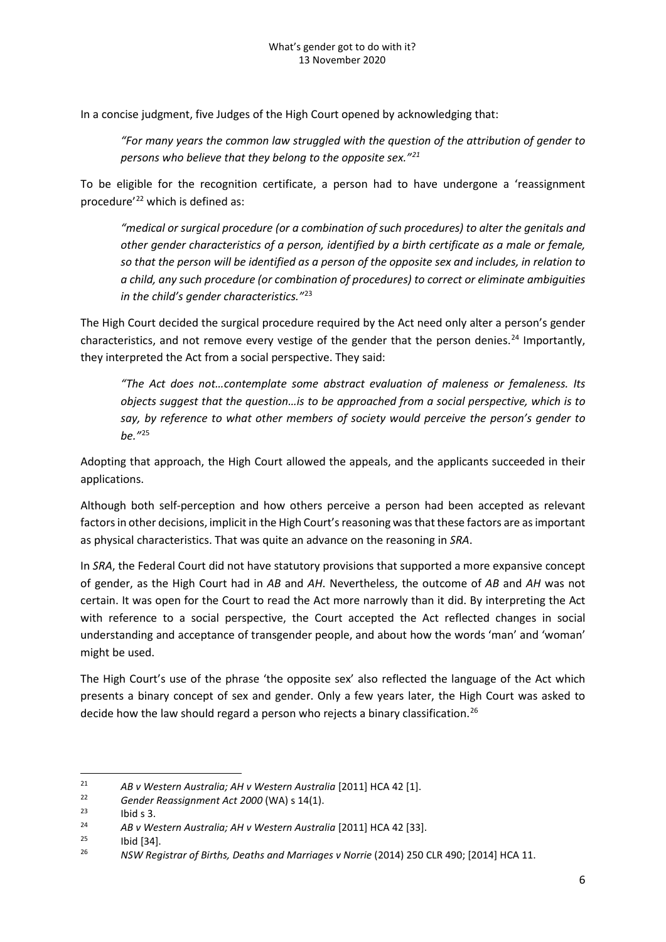In a concise judgment, five Judges of the High Court opened by acknowledging that:

*"For many years the common law struggled with the question of the attribution of gender to persons who believe that they belong to the opposite sex."[21](#page-5-0)*

To be eligible for the recognition certificate, a person had to have undergone a 'reassignment procedure'<sup>[22](#page-5-1)</sup> which is defined as:

*"medical or surgical procedure (or a combination of such procedures) to alter the genitals and other gender characteristics of a person, identified by a birth certificate as a male or female, so that the person will be identified as a person of the opposite sex and includes, in relation to a child, any such procedure (or combination of procedures) to correct or eliminate ambiguities in the child's gender characteristics."*[23](#page-5-2)

The High Court decided the surgical procedure required by the Act need only alter a person's gender characteristics, and not remove every vestige of the gender that the person denies.<sup>[24](#page-5-3)</sup> Importantly, they interpreted the Act from a social perspective. They said:

*"The Act does not…contemplate some abstract evaluation of maleness or femaleness. Its objects suggest that the question…is to be approached from a social perspective, which is to say, by reference to what other members of society would perceive the person's gender to be."*[25](#page-5-4)

Adopting that approach, the High Court allowed the appeals, and the applicants succeeded in their applications.

Although both self-perception and how others perceive a person had been accepted as relevant factors in other decisions, implicit in the High Court's reasoning was that these factors are as important as physical characteristics. That was quite an advance on the reasoning in *SRA*.

In *SRA*, the Federal Court did not have statutory provisions that supported a more expansive concept of gender, as the High Court had in *AB* and *AH*. Nevertheless, the outcome of *AB* and *AH* was not certain. It was open for the Court to read the Act more narrowly than it did. By interpreting the Act with reference to a social perspective, the Court accepted the Act reflected changes in social understanding and acceptance of transgender people, and about how the words 'man' and 'woman' might be used.

The High Court's use of the phrase 'the opposite sex' also reflected the language of the Act which presents a binary concept of sex and gender. Only a few years later, the High Court was asked to decide how the law should regard a person who rejects a binary classification.<sup>[26](#page-5-5)</sup>

<span id="page-5-2"></span><span id="page-5-1"></span>

<span id="page-5-3"></span>

<span id="page-5-5"></span><span id="page-5-4"></span>

<span id="page-5-0"></span><sup>&</sup>lt;sup>21</sup> AB v Western Australia; AH v Western Australia [2011] HCA 42 [1].<br>
<sup>22</sup> Gender Reassignment Act 2000 (WA) s 14(1).<br>
<sup>23</sup> AB v Western Australia; AH v Western Australia [2011] HCA 42 [33].<br>
<sup>25</sup> Ibid [34].<br>
<sup>25</sup> NSW R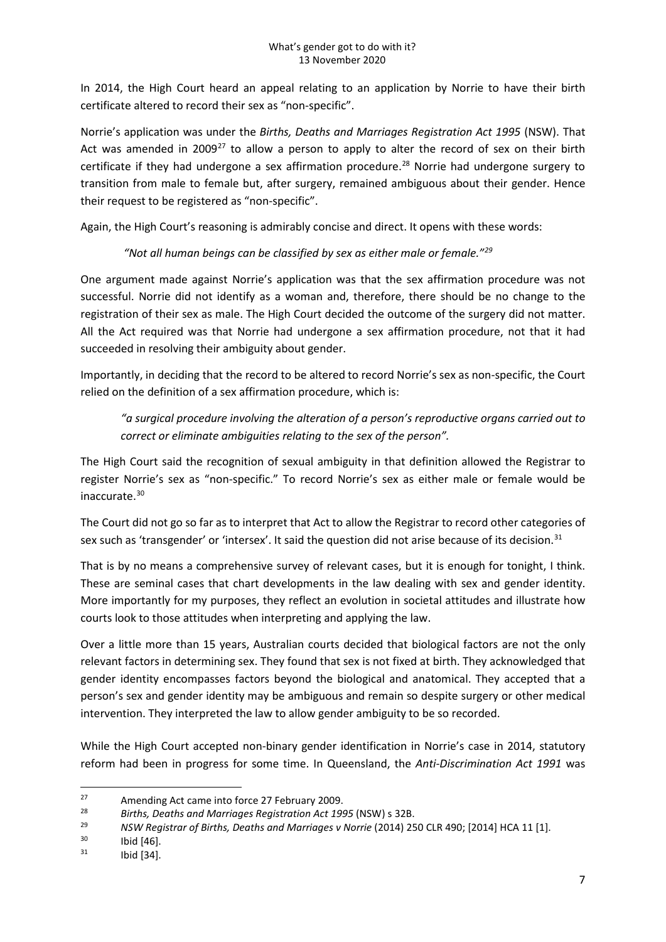In 2014, the High Court heard an appeal relating to an application by Norrie to have their birth certificate altered to record their sex as "non-specific".

Norrie's application was under the *Births, Deaths and Marriages Registration Act 1995* (NSW). That Act was amended in 2009<sup>[27](#page-6-0)</sup> to allow a person to apply to alter the record of sex on their birth certificate if they had undergone a sex affirmation procedure.<sup>[28](#page-6-1)</sup> Norrie had undergone surgery to transition from male to female but, after surgery, remained ambiguous about their gender. Hence their request to be registered as "non-specific".

Again, the High Court's reasoning is admirably concise and direct. It opens with these words:

## *"Not all human beings can be classified by sex as either male or female.["29](#page-6-2)*

One argument made against Norrie's application was that the sex affirmation procedure was not successful. Norrie did not identify as a woman and, therefore, there should be no change to the registration of their sex as male. The High Court decided the outcome of the surgery did not matter. All the Act required was that Norrie had undergone a sex affirmation procedure, not that it had succeeded in resolving their ambiguity about gender.

Importantly, in deciding that the record to be altered to record Norrie's sex as non-specific, the Court relied on the definition of a sex affirmation procedure, which is:

*"a surgical procedure involving the alteration of a person's reproductive organs carried out to correct or eliminate ambiguities relating to the sex of the person".*

The High Court said the recognition of sexual ambiguity in that definition allowed the Registrar to register Norrie's sex as "non-specific." To record Norrie's sex as either male or female would be inaccurate.[30](#page-6-3)

The Court did not go so far as to interpret that Act to allow the Registrar to record other categories of sex such as 'transgender' or 'intersex'. It said the question did not arise because of its decision.<sup>[31](#page-6-4)</sup>

That is by no means a comprehensive survey of relevant cases, but it is enough for tonight, I think. These are seminal cases that chart developments in the law dealing with sex and gender identity. More importantly for my purposes, they reflect an evolution in societal attitudes and illustrate how courts look to those attitudes when interpreting and applying the law.

Over a little more than 15 years, Australian courts decided that biological factors are not the only relevant factors in determining sex. They found that sex is not fixed at birth. They acknowledged that gender identity encompasses factors beyond the biological and anatomical. They accepted that a person's sex and gender identity may be ambiguous and remain so despite surgery or other medical intervention. They interpreted the law to allow gender ambiguity to be so recorded.

While the High Court accepted non-binary gender identification in Norrie's case in 2014, statutory reform had been in progress for some time. In Queensland, the *Anti-Discrimination Act 1991* was

<span id="page-6-0"></span><sup>&</sup>lt;sup>27</sup> Amending Act came into force 27 February 2009.

<span id="page-6-2"></span><span id="page-6-1"></span><sup>28</sup> *Births, Deaths and Marriages Registration Act 1995* (NSW) s 32B. 29 *NSW Registrar of Births, Deaths and Marriages v Norrie* (2014) 250 CLR 490; [2014] HCA 11 [1].

<span id="page-6-3"></span>Ibid [46].

<span id="page-6-4"></span> $^{31}$  Ibid [34].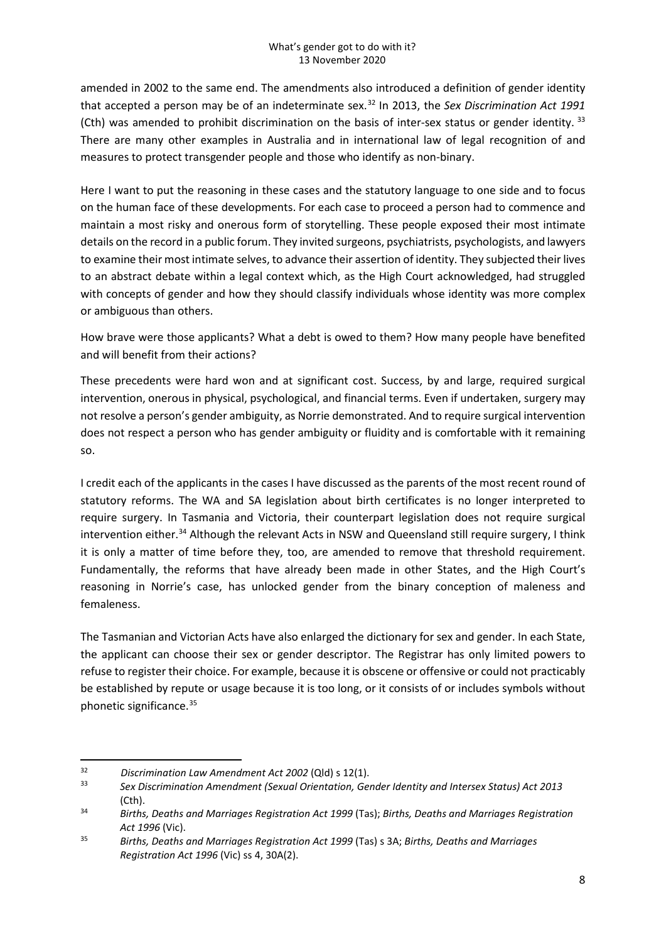amended in 2002 to the same end. The amendments also introduced a definition of gender identity that accepted a person may be of an indeterminate sex.[32](#page-7-0) In 2013, the *Sex Discrimination Act 1991*  (Cth) was amended to prohibit discrimination on the basis of inter-sex status or gender identity. [33](#page-7-1) There are many other examples in Australia and in international law of legal recognition of and measures to protect transgender people and those who identify as non-binary.

Here I want to put the reasoning in these cases and the statutory language to one side and to focus on the human face of these developments. For each case to proceed a person had to commence and maintain a most risky and onerous form of storytelling. These people exposed their most intimate details on the record in a public forum. They invited surgeons, psychiatrists, psychologists, and lawyers to examine their most intimate selves, to advance their assertion of identity. They subjected their lives to an abstract debate within a legal context which, as the High Court acknowledged, had struggled with concepts of gender and how they should classify individuals whose identity was more complex or ambiguous than others.

How brave were those applicants? What a debt is owed to them? How many people have benefited and will benefit from their actions?

These precedents were hard won and at significant cost. Success, by and large, required surgical intervention, onerous in physical, psychological, and financial terms. Even if undertaken, surgery may not resolve a person's gender ambiguity, as Norrie demonstrated. And to require surgical intervention does not respect a person who has gender ambiguity or fluidity and is comfortable with it remaining so.

I credit each of the applicants in the cases I have discussed as the parents of the most recent round of statutory reforms. The WA and SA legislation about birth certificates is no longer interpreted to require surgery. In Tasmania and Victoria, their counterpart legislation does not require surgical intervention either.<sup>[34](#page-7-2)</sup> Although the relevant Acts in NSW and Queensland still require surgery, I think it is only a matter of time before they, too, are amended to remove that threshold requirement. Fundamentally, the reforms that have already been made in other States, and the High Court's reasoning in Norrie's case, has unlocked gender from the binary conception of maleness and femaleness.

The Tasmanian and Victorian Acts have also enlarged the dictionary for sex and gender. In each State, the applicant can choose their sex or gender descriptor. The Registrar has only limited powers to refuse to register their choice. For example, because it is obscene or offensive or could not practicably be established by repute or usage because it is too long, or it consists of or includes symbols without phonetic significance. [35](#page-7-3)

<span id="page-7-1"></span><span id="page-7-0"></span><sup>32</sup> *Discrimination Law Amendment Act 2002* (Qld) s 12(1). 33 *Sex Discrimination Amendment (Sexual Orientation, Gender Identity and Intersex Status) Act <sup>2013</sup>*

<span id="page-7-2"></span><sup>(</sup>Cth). 34 *Births, Deaths and Marriages Registration Act 1999* (Tas); *Births, Deaths and Marriages Registration Act 1996* (Vic).

<span id="page-7-3"></span><sup>35</sup> *Births, Deaths and Marriages Registration Act 1999* (Tas) s 3A; *Births, Deaths and Marriages Registration Act 1996* (Vic) ss 4, 30A(2).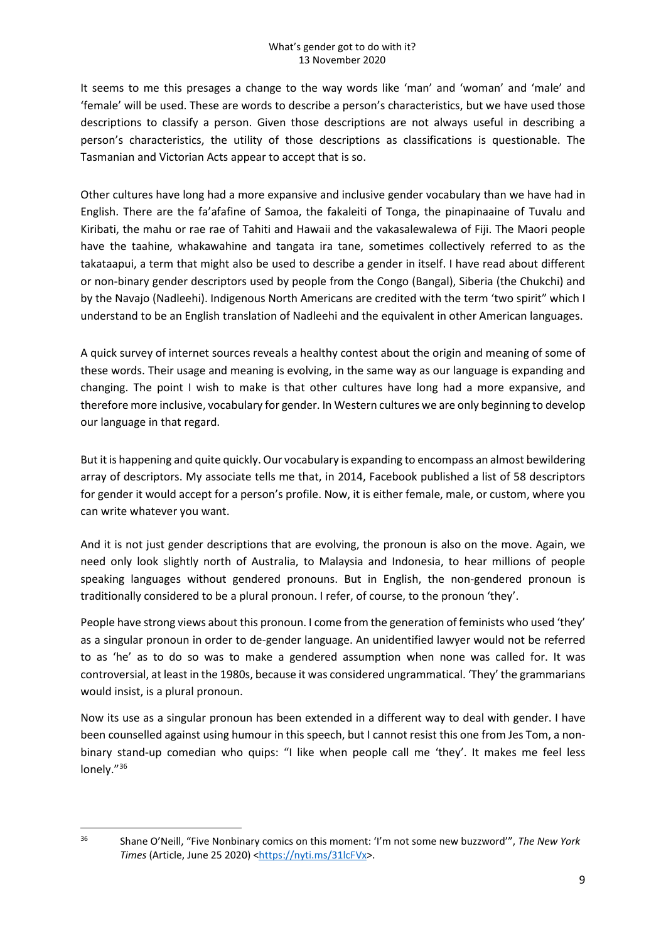It seems to me this presages a change to the way words like 'man' and 'woman' and 'male' and 'female' will be used. These are words to describe a person's characteristics, but we have used those descriptions to classify a person. Given those descriptions are not always useful in describing a person's characteristics, the utility of those descriptions as classifications is questionable. The Tasmanian and Victorian Acts appear to accept that is so.

Other cultures have long had a more expansive and inclusive gender vocabulary than we have had in English. There are the fa'afafine of Samoa, the fakaleiti of Tonga, the pinapinaaine of Tuvalu and Kiribati, the mahu or rae rae of Tahiti and Hawaii and the vakasalewalewa of Fiji. The Maori people have the taahine, whakawahine and tangata ira tane, sometimes collectively referred to as the takataapui, a term that might also be used to describe a gender in itself. I have read about different or non-binary gender descriptors used by people from the Congo (Bangal), Siberia (the Chukchi) and by the Navajo (Nadleehi). Indigenous North Americans are credited with the term 'two spirit" which I understand to be an English translation of Nadleehi and the equivalent in other American languages.

A quick survey of internet sources reveals a healthy contest about the origin and meaning of some of these words. Their usage and meaning is evolving, in the same way as our language is expanding and changing. The point I wish to make is that other cultures have long had a more expansive, and therefore more inclusive, vocabulary for gender. In Western cultures we are only beginning to develop our language in that regard.

But it is happening and quite quickly. Our vocabulary is expanding to encompass an almost bewildering array of descriptors. My associate tells me that, in 2014, Facebook published a list of 58 descriptors for gender it would accept for a person's profile. Now, it is either female, male, or custom, where you can write whatever you want.

And it is not just gender descriptions that are evolving, the pronoun is also on the move. Again, we need only look slightly north of Australia, to Malaysia and Indonesia, to hear millions of people speaking languages without gendered pronouns. But in English, the non-gendered pronoun is traditionally considered to be a plural pronoun. I refer, of course, to the pronoun 'they'.

People have strong views about this pronoun. I come from the generation of feminists who used 'they' as a singular pronoun in order to de-gender language. An unidentified lawyer would not be referred to as 'he' as to do so was to make a gendered assumption when none was called for. It was controversial, at least in the 1980s, because it was considered ungrammatical. 'They' the grammarians would insist, is a plural pronoun.

Now its use as a singular pronoun has been extended in a different way to deal with gender. I have been counselled against using humour in this speech, but I cannot resist this one from Jes Tom, a nonbinary stand-up comedian who quips: "I like when people call me 'they'. It makes me feel less lonely."[36](#page-8-0)

<span id="page-8-0"></span><sup>36</sup> Shane O'Neill, "Five Nonbinary comics on this moment: 'I'm not some new buzzword'", *The New York Times* (Article, June 25 2020) [<https://nyti.ms/31lcFVx>](https://nyti.ms/31lcFVx).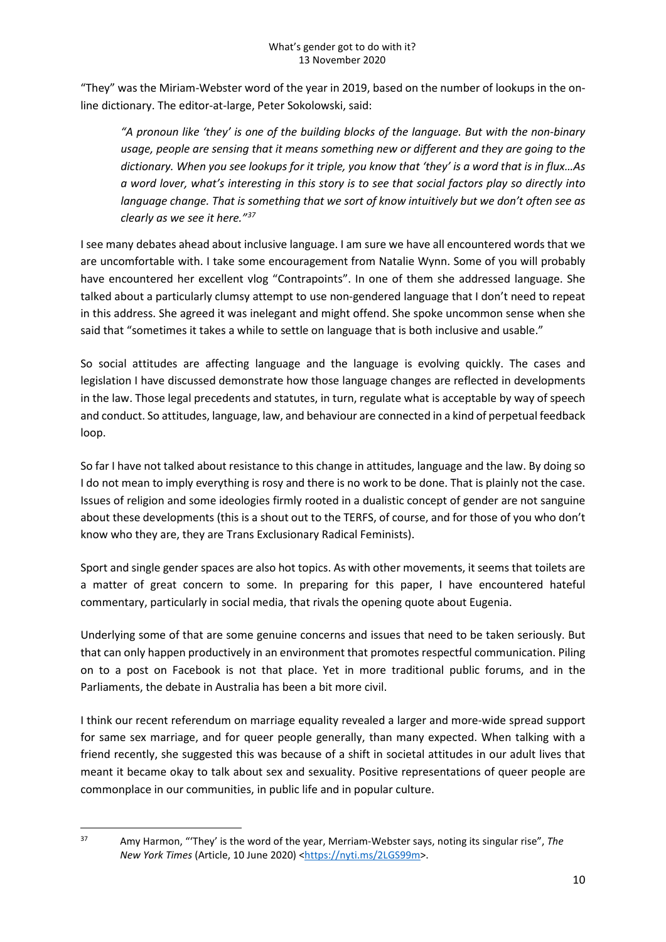"They" was the Miriam-Webster word of the year in 2019, based on the number of lookups in the online dictionary. The editor-at-large, Peter Sokolowski, said:

*"A pronoun like 'they' is one of the building blocks of the language. But with the non-binary usage, people are sensing that it means something new or different and they are going to the dictionary. When you see lookups for it triple, you know that 'they' is a word that is in flux…As a word lover, what's interesting in this story is to see that social factors play so directly into language change. That is something that we sort of know intuitively but we don't often see as clearly as we see it here."[37](#page-9-0)*

I see many debates ahead about inclusive language. I am sure we have all encountered words that we are uncomfortable with. I take some encouragement from Natalie Wynn. Some of you will probably have encountered her excellent vlog "Contrapoints". In one of them she addressed language. She talked about a particularly clumsy attempt to use non-gendered language that I don't need to repeat in this address. She agreed it was inelegant and might offend. She spoke uncommon sense when she said that "sometimes it takes a while to settle on language that is both inclusive and usable."

So social attitudes are affecting language and the language is evolving quickly. The cases and legislation I have discussed demonstrate how those language changes are reflected in developments in the law. Those legal precedents and statutes, in turn, regulate what is acceptable by way of speech and conduct. So attitudes, language, law, and behaviour are connected in a kind of perpetual feedback loop.

So far I have not talked about resistance to this change in attitudes, language and the law. By doing so I do not mean to imply everything is rosy and there is no work to be done. That is plainly not the case. Issues of religion and some ideologies firmly rooted in a dualistic concept of gender are not sanguine about these developments (this is a shout out to the TERFS, of course, and for those of you who don't know who they are, they are Trans Exclusionary Radical Feminists).

Sport and single gender spaces are also hot topics. As with other movements, it seems that toilets are a matter of great concern to some. In preparing for this paper, I have encountered hateful commentary, particularly in social media, that rivals the opening quote about Eugenia.

Underlying some of that are some genuine concerns and issues that need to be taken seriously. But that can only happen productively in an environment that promotes respectful communication. Piling on to a post on Facebook is not that place. Yet in more traditional public forums, and in the Parliaments, the debate in Australia has been a bit more civil.

I think our recent referendum on marriage equality revealed a larger and more-wide spread support for same sex marriage, and for queer people generally, than many expected. When talking with a friend recently, she suggested this was because of a shift in societal attitudes in our adult lives that meant it became okay to talk about sex and sexuality. Positive representations of queer people are commonplace in our communities, in public life and in popular culture.

<span id="page-9-0"></span><sup>37</sup> Amy Harmon, "'They' is the word of the year, Merriam-Webster says, noting its singular rise", *The New York Times* (Article, 10 June 2020) [<https://nyti.ms/2LGS99m>](https://nyti.ms/2LGS99m).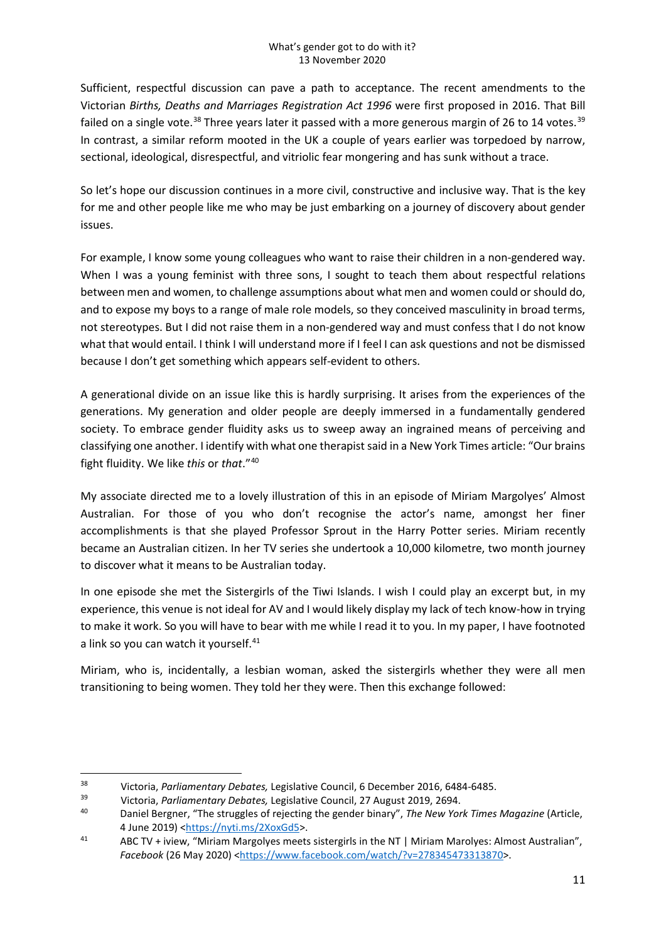Sufficient, respectful discussion can pave a path to acceptance. The recent amendments to the Victorian *Births, Deaths and Marriages Registration Act 1996* were first proposed in 2016. That Bill failed on a single vote.<sup>[38](#page-10-0)</sup> Three years later it passed with a more generous margin of 26 to 14 votes.<sup>[39](#page-10-1)</sup> In contrast, a similar reform mooted in the UK a couple of years earlier was torpedoed by narrow, sectional, ideological, disrespectful, and vitriolic fear mongering and has sunk without a trace.

So let's hope our discussion continues in a more civil, constructive and inclusive way. That is the key for me and other people like me who may be just embarking on a journey of discovery about gender issues.

For example, I know some young colleagues who want to raise their children in a non-gendered way. When I was a young feminist with three sons, I sought to teach them about respectful relations between men and women, to challenge assumptions about what men and women could or should do, and to expose my boys to a range of male role models, so they conceived masculinity in broad terms, not stereotypes. But I did not raise them in a non-gendered way and must confess that I do not know what that would entail. I think I will understand more if I feel I can ask questions and not be dismissed because I don't get something which appears self-evident to others.

A generational divide on an issue like this is hardly surprising. It arises from the experiences of the generations. My generation and older people are deeply immersed in a fundamentally gendered society. To embrace gender fluidity asks us to sweep away an ingrained means of perceiving and classifying one another. I identify with what one therapist said in a New York Times article: "Our brains fight fluidity. We like *this* or *that*."[40](#page-10-2)

My associate directed me to a lovely illustration of this in an episode of Miriam Margolyes' Almost Australian. For those of you who don't recognise the actor's name, amongst her finer accomplishments is that she played Professor Sprout in the Harry Potter series. Miriam recently became an Australian citizen. In her TV series she undertook a 10,000 kilometre, two month journey to discover what it means to be Australian today.

In one episode she met the Sistergirls of the Tiwi Islands. I wish I could play an excerpt but, in my experience, this venue is not ideal for AV and I would likely display my lack of tech know-how in trying to make it work. So you will have to bear with me while I read it to you. In my paper, I have footnoted a link so you can watch it yourself. $41$ 

Miriam, who is, incidentally, a lesbian woman, asked the sistergirls whether they were all men transitioning to being women. They told her they were. Then this exchange followed:

<span id="page-10-2"></span><span id="page-10-1"></span>

<span id="page-10-0"></span><sup>&</sup>lt;sup>38</sup> Victoria, *Parliamentary Debates*, Legislative Council, 6 December 2016, 6484-6485.<br>Victoria, *Parliamentary Debates*, Legislative Council, 27 August 2019, 2694.<br><sup>40</sup> Daniel Bergner, "The struggles of rejecting the ge 4 June 2019) [<https://nyti.ms/2XoxGd5>](https://nyti.ms/2XoxGd5).<br>41 ABC TV + iview, "Miriam Margolyes meets sistergirls in the NT | Miriam Marolyes: Almost Australian",

<span id="page-10-3"></span>*Facebook* (26 May 2020) [<https://www.facebook.com/watch/?v=278345473313870>](https://www.facebook.com/watch/?v=278345473313870).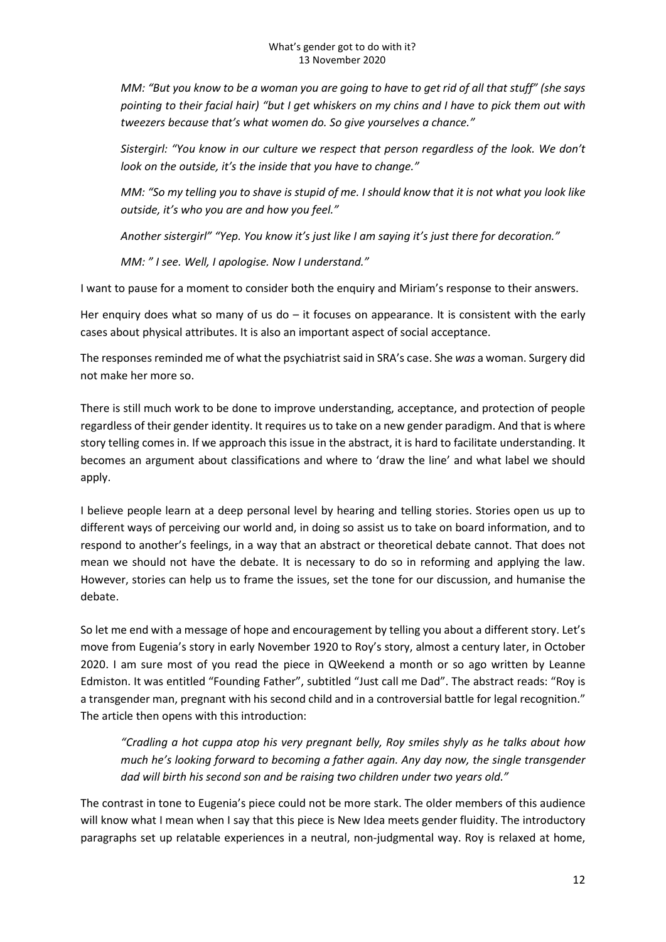*MM: "But you know to be a woman you are going to have to get rid of all that stuff" (she says pointing to their facial hair) "but I get whiskers on my chins and I have to pick them out with tweezers because that's what women do. So give yourselves a chance."*

*Sistergirl: "You know in our culture we respect that person regardless of the look. We don't look on the outside, it's the inside that you have to change."*

*MM: "So my telling you to shave is stupid of me. I should know that it is not what you look like outside, it's who you are and how you feel."*

*Another sistergirl" "Yep. You know it's just like I am saying it's just there for decoration."*

*MM: " I see. Well, I apologise. Now I understand."*

I want to pause for a moment to consider both the enquiry and Miriam's response to their answers.

Her enquiry does what so many of us  $do - it$  focuses on appearance. It is consistent with the early cases about physical attributes. It is also an important aspect of social acceptance.

The responses reminded me of what the psychiatrist said in SRA's case. She *was* a woman. Surgery did not make her more so.

There is still much work to be done to improve understanding, acceptance, and protection of people regardless of their gender identity. It requires us to take on a new gender paradigm. And that is where story telling comes in. If we approach this issue in the abstract, it is hard to facilitate understanding. It becomes an argument about classifications and where to 'draw the line' and what label we should apply.

I believe people learn at a deep personal level by hearing and telling stories. Stories open us up to different ways of perceiving our world and, in doing so assist us to take on board information, and to respond to another's feelings, in a way that an abstract or theoretical debate cannot. That does not mean we should not have the debate. It is necessary to do so in reforming and applying the law. However, stories can help us to frame the issues, set the tone for our discussion, and humanise the debate.

So let me end with a message of hope and encouragement by telling you about a different story. Let's move from Eugenia's story in early November 1920 to Roy's story, almost a century later, in October 2020. I am sure most of you read the piece in QWeekend a month or so ago written by Leanne Edmiston. It was entitled "Founding Father", subtitled "Just call me Dad". The abstract reads: "Roy is a transgender man, pregnant with his second child and in a controversial battle for legal recognition." The article then opens with this introduction:

*"Cradling a hot cuppa atop his very pregnant belly, Roy smiles shyly as he talks about how much he's looking forward to becoming a father again. Any day now, the single transgender dad will birth his second son and be raising two children under two years old."*

The contrast in tone to Eugenia's piece could not be more stark. The older members of this audience will know what I mean when I say that this piece is New Idea meets gender fluidity. The introductory paragraphs set up relatable experiences in a neutral, non-judgmental way. Roy is relaxed at home,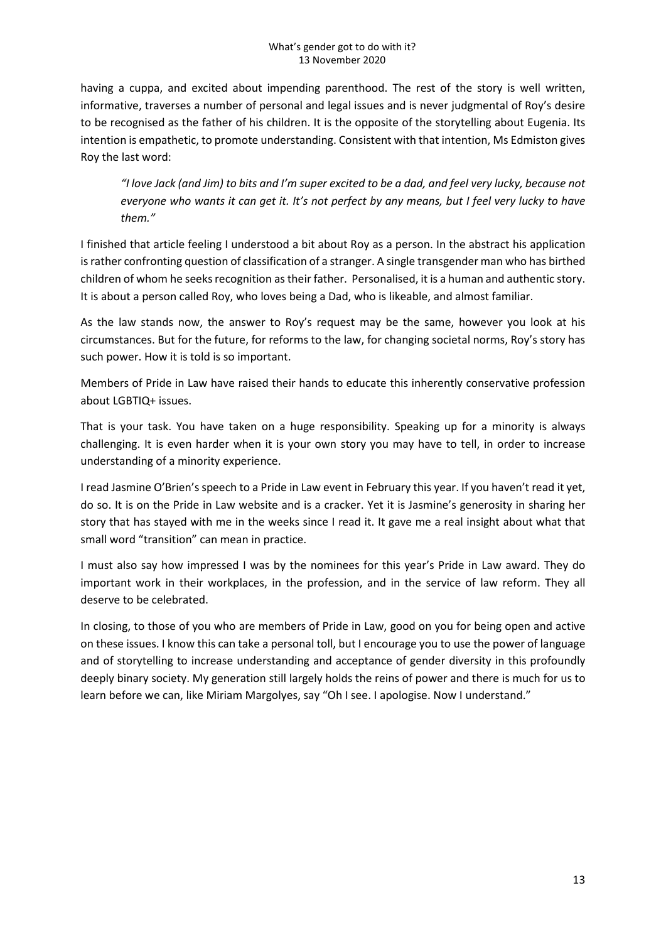having a cuppa, and excited about impending parenthood. The rest of the story is well written, informative, traverses a number of personal and legal issues and is never judgmental of Roy's desire to be recognised as the father of his children. It is the opposite of the storytelling about Eugenia. Its intention is empathetic, to promote understanding. Consistent with that intention, Ms Edmiston gives Roy the last word:

*"I love Jack (and Jim) to bits and I'm super excited to be a dad, and feel very lucky, because not everyone who wants it can get it. It's not perfect by any means, but I feel very lucky to have them."*

I finished that article feeling I understood a bit about Roy as a person. In the abstract his application is rather confronting question of classification of a stranger. A single transgender man who has birthed children of whom he seeks recognition as their father. Personalised, it is a human and authentic story. It is about a person called Roy, who loves being a Dad, who is likeable, and almost familiar.

As the law stands now, the answer to Roy's request may be the same, however you look at his circumstances. But for the future, for reforms to the law, for changing societal norms, Roy's story has such power. How it is told is so important.

Members of Pride in Law have raised their hands to educate this inherently conservative profession about LGBTIQ+ issues.

That is your task. You have taken on a huge responsibility. Speaking up for a minority is always challenging. It is even harder when it is your own story you may have to tell, in order to increase understanding of a minority experience.

I read Jasmine O'Brien's speech to a Pride in Law event in February this year. If you haven't read it yet, do so. It is on the Pride in Law website and is a cracker. Yet it is Jasmine's generosity in sharing her story that has stayed with me in the weeks since I read it. It gave me a real insight about what that small word "transition" can mean in practice.

I must also say how impressed I was by the nominees for this year's Pride in Law award. They do important work in their workplaces, in the profession, and in the service of law reform. They all deserve to be celebrated.

In closing, to those of you who are members of Pride in Law, good on you for being open and active on these issues. I know this can take a personal toll, but I encourage you to use the power of language and of storytelling to increase understanding and acceptance of gender diversity in this profoundly deeply binary society. My generation still largely holds the reins of power and there is much for us to learn before we can, like Miriam Margolyes, say "Oh I see. I apologise. Now I understand."